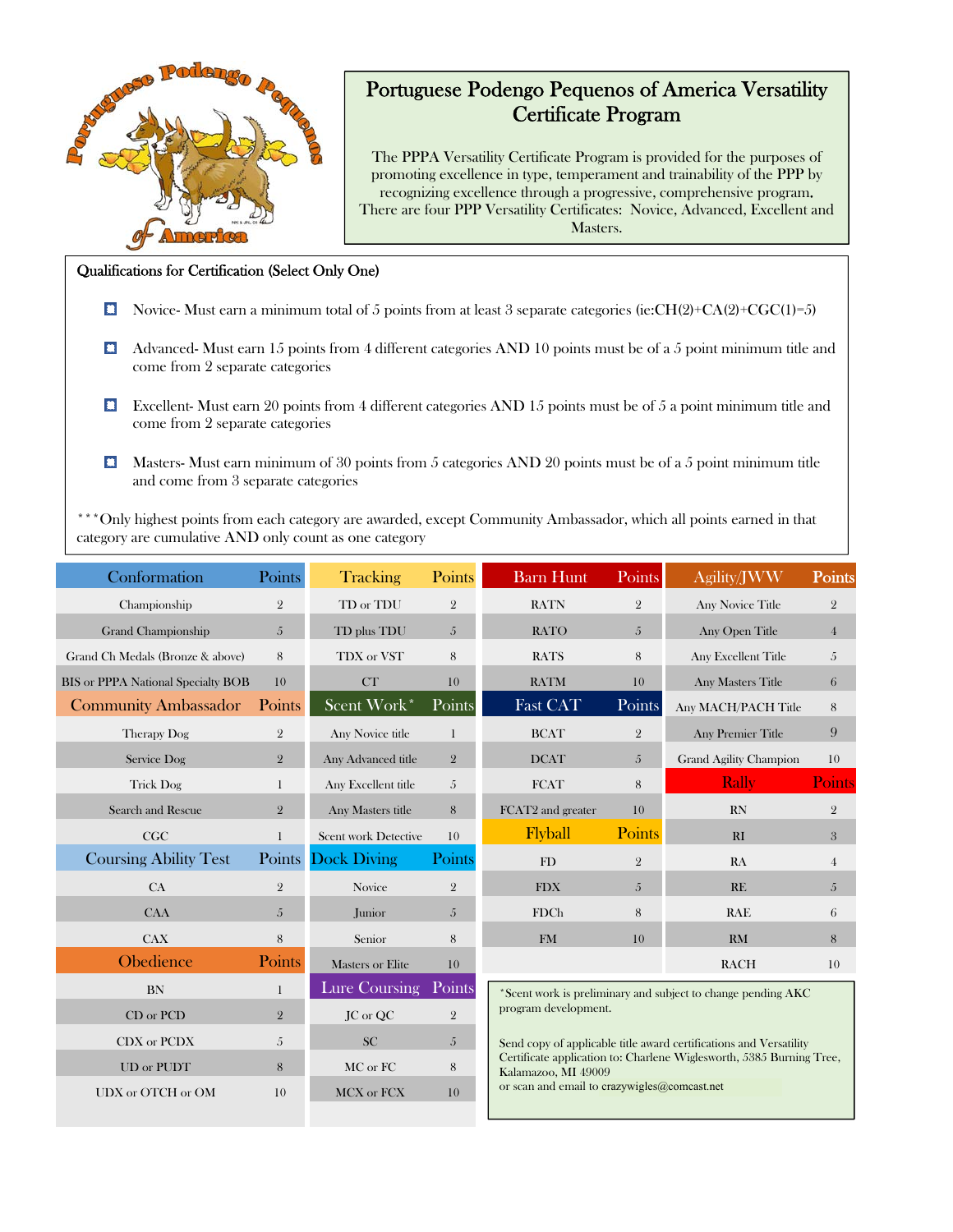

- Excellent- Must earn 20 points from 4 different categories AND 15 points must be of 5 a point minimum title and come from 2 separate categories
- $\Box$  Masters- Must earn minimum of 30 points from 5 categories AND 20 points must be of a 5 point minimum title and come from 3 separate categories

\*\*\*Only highest points from each category are awarded, except Community Ambassador, which all points earned in that category are cumulative AND only count as one category

| Conformation                       | Points         | <b>Tracking</b>         | Points         | <b>Barn Hunt</b>                                                                                                                                                                                                                                                                                          | Points         | Agility/JWW                   | <b>Points</b>    |  |
|------------------------------------|----------------|-------------------------|----------------|-----------------------------------------------------------------------------------------------------------------------------------------------------------------------------------------------------------------------------------------------------------------------------------------------------------|----------------|-------------------------------|------------------|--|
| Championship                       | $\mathbf{2}$   | TD or TDU               | $\overline{2}$ | <b>RATN</b>                                                                                                                                                                                                                                                                                               | $\overline{2}$ | <b>Any Novice Title</b>       | $\mathbf{2}$     |  |
| Grand Championship                 | $\overline{5}$ | TD plus TDU             | 5              | <b>RATO</b>                                                                                                                                                                                                                                                                                               | 5              | Any Open Title                | $\overline{4}$   |  |
| Grand Ch Medals (Bronze & above)   | 8              | TDX or VST              | 8              | <b>RATS</b>                                                                                                                                                                                                                                                                                               | 8              | Any Excellent Title           | 5                |  |
| BIS or PPPA National Specialty BOB | 10             | CT                      | 10             | <b>RATM</b>                                                                                                                                                                                                                                                                                               | 10             | <b>Any Masters Title</b>      | 6                |  |
| <b>Community Ambassador</b>        | Points         | Scent Work*             | Points         | Fast CAT                                                                                                                                                                                                                                                                                                  | Points         | Any MACH/PACH Title           | $\,8\,$          |  |
| Therapy Dog                        | $\overline{2}$ | Any Novice title        | 1              | <b>BCAT</b>                                                                                                                                                                                                                                                                                               | $\overline{2}$ | <b>Any Premier Title</b>      | 9                |  |
| Service Dog                        | 2              | Any Advanced title      | $\overline{2}$ | <b>DCAT</b>                                                                                                                                                                                                                                                                                               | 5              | <b>Grand Agility Champion</b> | 10               |  |
| <b>Trick Dog</b>                   | $\mathbf{1}$   | Any Excellent title     | 5              | <b>FCAT</b>                                                                                                                                                                                                                                                                                               | 8              | Rally                         | <b>Points</b>    |  |
| Search and Rescue                  | $\overline{2}$ | Any Masters title       | 8              | FCAT2 and greater                                                                                                                                                                                                                                                                                         | 10             | RN                            | $\mathbf{2}$     |  |
| CGC                                | $\mathbf{1}$   | Scent work Detective    | 10             | Flyball                                                                                                                                                                                                                                                                                                   | <b>Points</b>  | RI                            | $\boldsymbol{3}$ |  |
| <b>Coursing Ability Test</b>       |                | Points Dock Diving      | Points         | FD                                                                                                                                                                                                                                                                                                        | $\overline{2}$ | RA                            | $\overline{4}$   |  |
| CA                                 | $\overline{2}$ | Novice                  | $\overline{2}$ | <b>FDX</b>                                                                                                                                                                                                                                                                                                | $\overline{5}$ | RE                            | $\sqrt{5}$       |  |
| <b>CAA</b>                         | 5              | Junior                  | 5              | <b>FDCh</b>                                                                                                                                                                                                                                                                                               | 8              | <b>RAE</b>                    | $\,6\,$          |  |
| <b>CAX</b>                         | 8              | Senior                  | 8              | <b>FM</b>                                                                                                                                                                                                                                                                                                 | 10             | RM                            | $8\phantom{1}$   |  |
| Obedience                          | Points         | <b>Masters or Elite</b> | 10             |                                                                                                                                                                                                                                                                                                           |                | <b>RACH</b>                   | 10               |  |
| <b>BN</b>                          | 1              | Lure Coursing Points    |                | *Scent work is preliminary and subject to change pending AKC<br>program development.<br>Send copy of applicable title award certifications and Versatility<br>Certificate application to: Charlene Wiglesworth, 5385 Burning Tree,<br>Kalamazoo, MI 49009<br>or scan and email to crazywigles@comcast.net |                |                               |                  |  |
| CD or PCD                          | $\overline{2}$ | JC or QC                | $\overline{2}$ |                                                                                                                                                                                                                                                                                                           |                |                               |                  |  |
| CDX or PCDX                        | 5              | <b>SC</b>               | 5              |                                                                                                                                                                                                                                                                                                           |                |                               |                  |  |
| UD or PUDT                         | 8              | MC or FC                | 8              |                                                                                                                                                                                                                                                                                                           |                |                               |                  |  |
| UDX or OTCH or OM                  | 10             | MCX or FCX              | 10             |                                                                                                                                                                                                                                                                                                           |                |                               |                  |  |